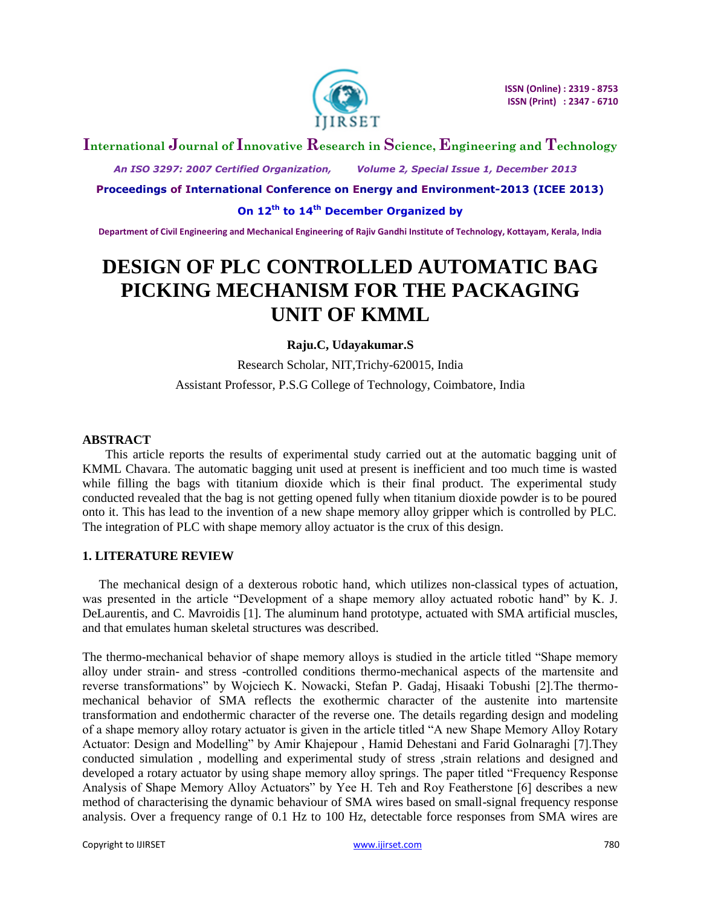

# **International Journal of Innovative Research in Science, Engineering and Technology**

 *An ISO 3297: 2007 Certified Organization, Volume 2, Special Issue 1, December 2013*

**Proceedings of International Conference on Energy and Environment-2013 (ICEE 2013)**

**On 12th to 14th December Organized by**

**Department of Civil Engineering and Mechanical Engineering of Rajiv Gandhi Institute of Technology, Kottayam, Kerala, India**

# **DESIGN OF PLC CONTROLLED AUTOMATIC BAG PICKING MECHANISM FOR THE PACKAGING UNIT OF KMML**

# **Raju.C, Udayakumar.S**

Research Scholar, NIT,Trichy-620015, India Assistant Professor, P.S.G College of Technology, Coimbatore, India

## **ABSTRACT**

This article reports the results of experimental study carried out at the automatic bagging unit of KMML Chavara. The automatic bagging unit used at present is inefficient and too much time is wasted while filling the bags with titanium dioxide which is their final product. The experimental study conducted revealed that the bag is not getting opened fully when titanium dioxide powder is to be poured onto it. This has lead to the invention of a new shape memory alloy gripper which is controlled by PLC. The integration of PLC with shape memory alloy actuator is the crux of this design.

## **1. LITERATURE REVIEW**

The mechanical design of a dexterous robotic hand, which utilizes non-classical types of actuation, was presented in the article "Development of a shape memory alloy actuated robotic hand" by K. J. DeLaurentis, and C. Mavroidis [1]. The aluminum hand prototype, actuated with SMA artificial muscles, and that emulates human skeletal structures was described.

The thermo-mechanical behavior of shape memory alloys is studied in the article titled "Shape memory alloy under strain- and stress -controlled conditions thermo-mechanical aspects of the martensite and reverse transformations" by Wojciech K. Nowacki, Stefan P. Gadaj, Hisaaki Tobushi [2].The thermomechanical behavior of SMA reflects the exothermic character of the austenite into martensite transformation and endothermic character of the reverse one. The details regarding design and modeling of a shape memory alloy rotary actuator is given in the article titled "A new Shape Memory Alloy Rotary Actuator: Design and Modelling" by Amir Khajepour , Hamid Dehestani and Farid Golnaraghi [7].They conducted simulation , modelling and experimental study of stress ,strain relations and designed and developed a rotary actuator by using shape memory alloy springs. The paper titled "Frequency Response Analysis of Shape Memory Alloy Actuators" by Yee H. Teh and Roy Featherstone [6] describes a new method of characterising the dynamic behaviour of SMA wires based on small-signal frequency response analysis. Over a frequency range of 0.1 Hz to 100 Hz, detectable force responses from SMA wires are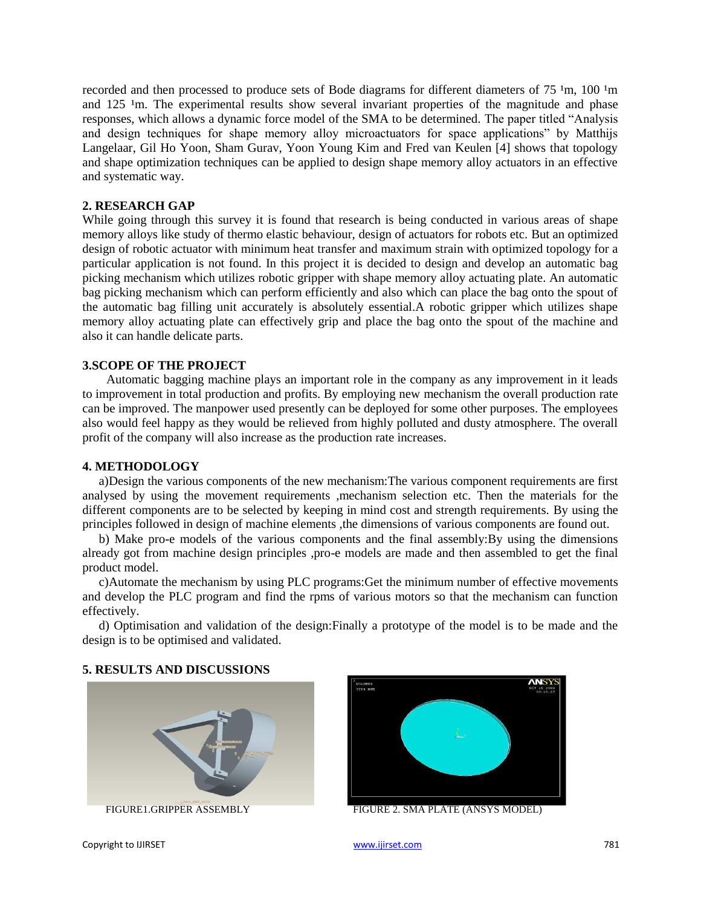recorded and then processed to produce sets of Bode diagrams for different diameters of  $75 \,^1$ m,  $100 \,^1$ m and 125 <sup>1</sup>m. The experimental results show several invariant properties of the magnitude and phase responses, which allows a dynamic force model of the SMA to be determined. The paper titled "Analysis and design techniques for shape memory alloy microactuators for space applications" by Matthijs Langelaar, Gil Ho Yoon, Sham Gurav, Yoon Young Kim and Fred van Keulen [4] shows that topology and shape optimization techniques can be applied to design shape memory alloy actuators in an effective and systematic way.

#### **2. RESEARCH GAP**

While going through this survey it is found that research is being conducted in various areas of shape memory alloys like study of thermo elastic behaviour, design of actuators for robots etc. But an optimized design of robotic actuator with minimum heat transfer and maximum strain with optimized topology for a particular application is not found. In this project it is decided to design and develop an automatic bag picking mechanism which utilizes robotic gripper with shape memory alloy actuating plate. An automatic bag picking mechanism which can perform efficiently and also which can place the bag onto the spout of the automatic bag filling unit accurately is absolutely essential.A robotic gripper which utilizes shape memory alloy actuating plate can effectively grip and place the bag onto the spout of the machine and also it can handle delicate parts.

## **3.SCOPE OF THE PROJECT**

Automatic bagging machine plays an important role in the company as any improvement in it leads to improvement in total production and profits. By employing new mechanism the overall production rate can be improved. The manpower used presently can be deployed for some other purposes. The employees also would feel happy as they would be relieved from highly polluted and dusty atmosphere. The overall profit of the company will also increase as the production rate increases.

# **4. METHODOLOGY**

a)Design the various components of the new mechanism:The various component requirements are first analysed by using the movement requirements ,mechanism selection etc. Then the materials for the different components are to be selected by keeping in mind cost and strength requirements. By using the principles followed in design of machine elements ,the dimensions of various components are found out.

b) Make pro-e models of the various components and the final assembly:By using the dimensions already got from machine design principles ,pro-e models are made and then assembled to get the final product model.

c)Automate the mechanism by using PLC programs:Get the minimum number of effective movements and develop the PLC program and find the rpms of various motors so that the mechanism can function effectively.

d) Optimisation and validation of the design:Finally a prototype of the model is to be made and the design is to be optimised and validated.

#### **5. RESULTS AND DISCUSSIONS**





FIGURE1.GRIPPER ASSEMBLY FIGURE 2. SMA PLATE (ANSYS MODEL)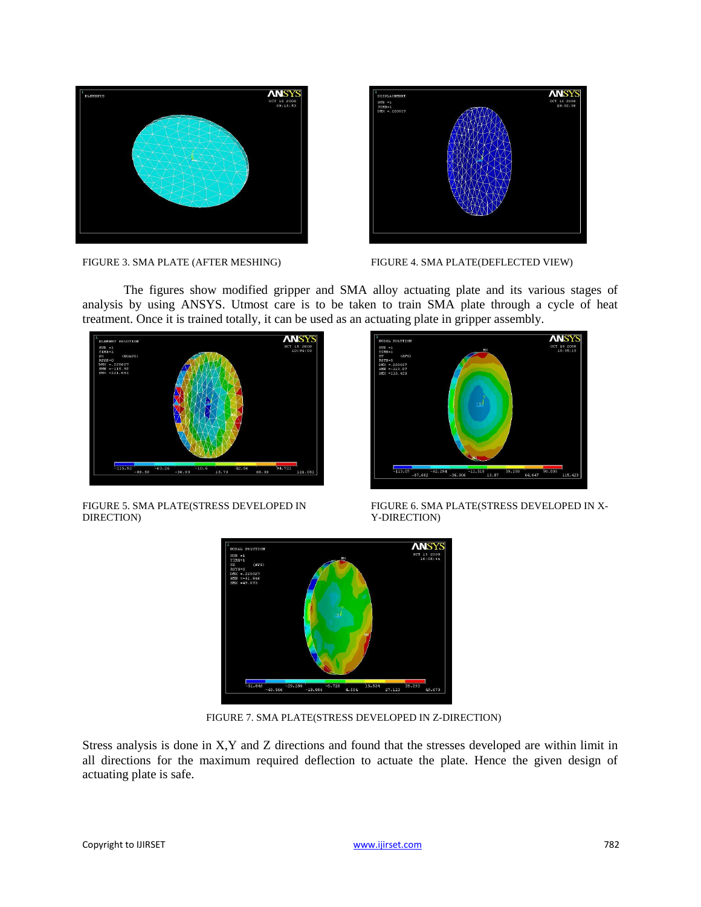



FIGURE 3. SMA PLATE (AFTER MESHING) FIGURE 4. SMA PLATE (DEFLECTED VIEW)

The figures show modified gripper and SMA alloy actuating plate and its various stages of analysis by using ANSYS. Utmost care is to be taken to train SMA plate through a cycle of heat treatment. Once it is trained totally, it can be used as an actuating plate in gripper assembly.





FIGURE 5. SMA PLATE(STRESS DEVELOPED IN FIGURE 6. SMA PLATE(STRESS DEVELOPED IN X-<br>
Y-DIRECTION) DIRECTION) Y-DIRECTION)



FIGURE 7. SMA PLATE(STRESS DEVELOPED IN Z-DIRECTION)

Stress analysis is done in X,Y and Z directions and found that the stresses developed are within limit in all directions for the maximum required deflection to actuate the plate. Hence the given design of actuating plate is safe.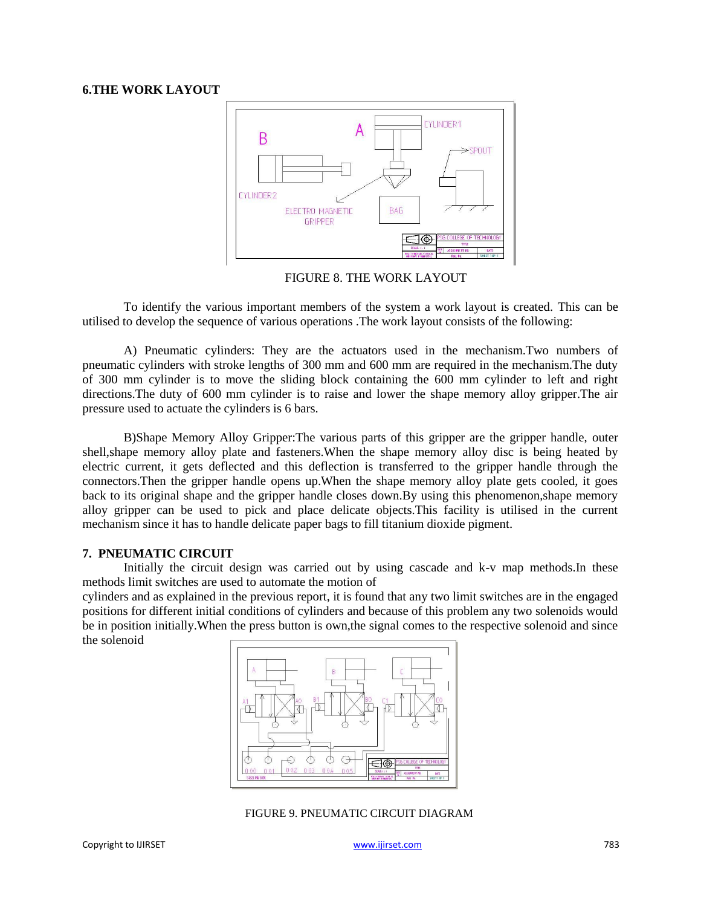#### **6.THE WORK LAYOUT**



FIGURE 8. THE WORK LAYOUT

To identify the various important members of the system a work layout is created. This can be utilised to develop the sequence of various operations .The work layout consists of the following:

A) Pneumatic cylinders: They are the actuators used in the mechanism.Two numbers of pneumatic cylinders with stroke lengths of 300 mm and 600 mm are required in the mechanism.The duty of 300 mm cylinder is to move the sliding block containing the 600 mm cylinder to left and right directions.The duty of 600 mm cylinder is to raise and lower the shape memory alloy gripper.The air pressure used to actuate the cylinders is 6 bars.

B)Shape Memory Alloy Gripper:The various parts of this gripper are the gripper handle, outer shell,shape memory alloy plate and fasteners.When the shape memory alloy disc is being heated by electric current, it gets deflected and this deflection is transferred to the gripper handle through the connectors.Then the gripper handle opens up.When the shape memory alloy plate gets cooled, it goes back to its original shape and the gripper handle closes down.By using this phenomenon,shape memory alloy gripper can be used to pick and place delicate objects.This facility is utilised in the current mechanism since it has to handle delicate paper bags to fill titanium dioxide pigment.

#### **7. PNEUMATIC CIRCUIT**

Initially the circuit design was carried out by using cascade and k-v map methods.In these methods limit switches are used to automate the motion of

cylinders and as explained in the previous report, it is found that any two limit switches are in the engaged positions for different initial conditions of cylinders and because of this problem any two solenoids would be in position initially.When the press button is own,the signal comes to the respective solenoid and since the solenoid



FIGURE 9. PNEUMATIC CIRCUIT DIAGRAM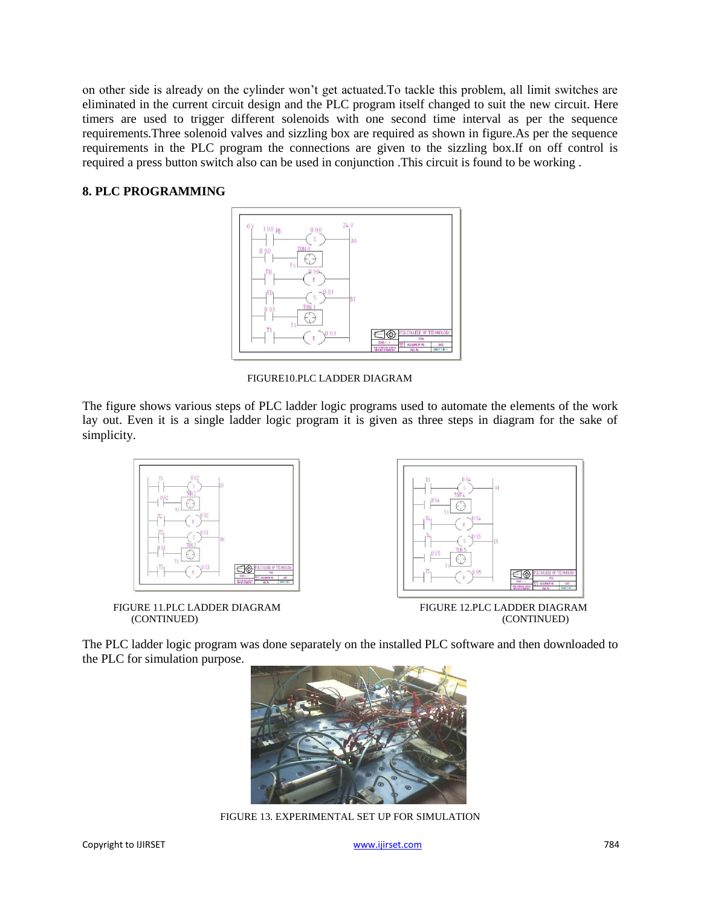on other side is already on the cylinder won't get actuated.To tackle this problem, all limit switches are eliminated in the current circuit design and the PLC program itself changed to suit the new circuit. Here timers are used to trigger different solenoids with one second time interval as per the sequence requirements.Three solenoid valves and sizzling box are required as shown in figure.As per the sequence requirements in the PLC program the connections are given to the sizzling box.If on off control is required a press button switch also can be used in conjunction .This circuit is found to be working .

# **8. PLC PROGRAMMING**



FIGURE10.PLC LADDER DIAGRAM

The figure shows various steps of PLC ladder logic programs used to automate the elements of the work lay out. Even it is a single ladder logic program it is given as three steps in diagram for the sake of simplicity.



FIGURE 11.PLC LADDER DIAGRAM FIGURE 12.PLC LADDER DIAGRAM (CONTINUED) (CONTINUED)



The PLC ladder logic program was done separately on the installed PLC software and then downloaded to the PLC for simulation purpose.



FIGURE 13. EXPERIMENTAL SET UP FOR SIMULATION